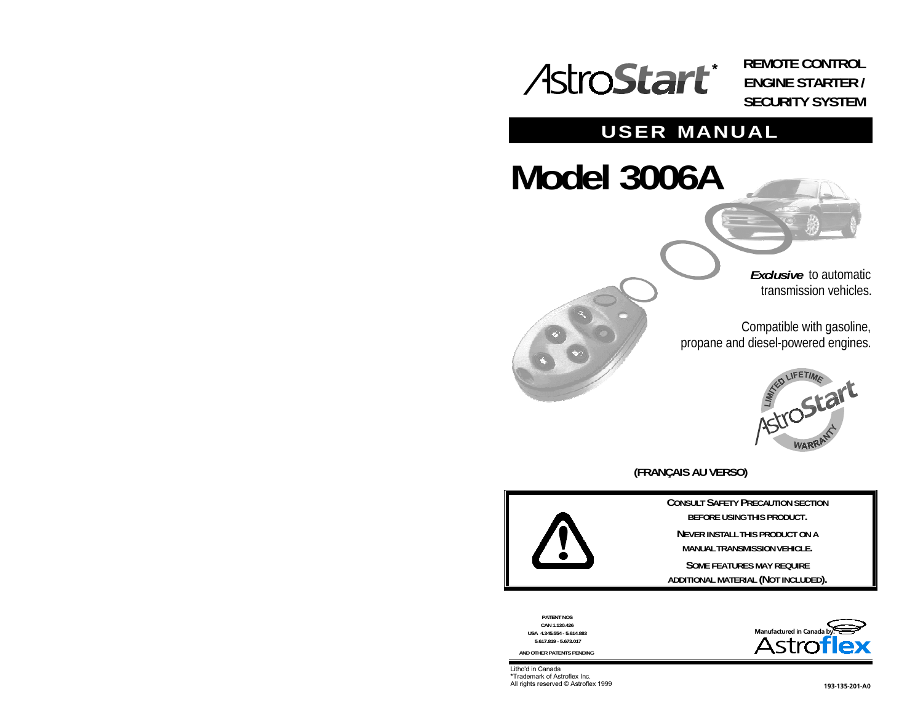# **REMOTE CONTROL ENGINE STARTER / SECURITY SYSTEM**

# **USER MANUAL**

# **Model 3006A**

*Exclusive* to automatictransmission vehicles.

Compatible with gasoline, propane and diesel-powered engines.



**(FRANÇAIS AU VERSO)**



**CONSULT SAFETY PRECAUTION SECTIONBEFORE USING THIS PRODUCT.**

**NEVER INSTALL THIS PRODUCT ON AMANUAL TRANSMISSION VEHICLE.**

**SOME FEATURES MAY REQUIREADDITIONAL MATERIAL (NOT INCLUDED).**

**PATENT NOS CAN 1.130.426 USA 4.345.554 - 5.614.883 5.617.819 - 5.673.017**

**AND OTHER PATENTS PENDING**

Litho'd in Canada \*Trademark of Astroflex Inc. All rights reserved © Astroflex 1999 **CONTEX 1998** 1998 1998 1998 1998 1998 1999 199-135-201-A0

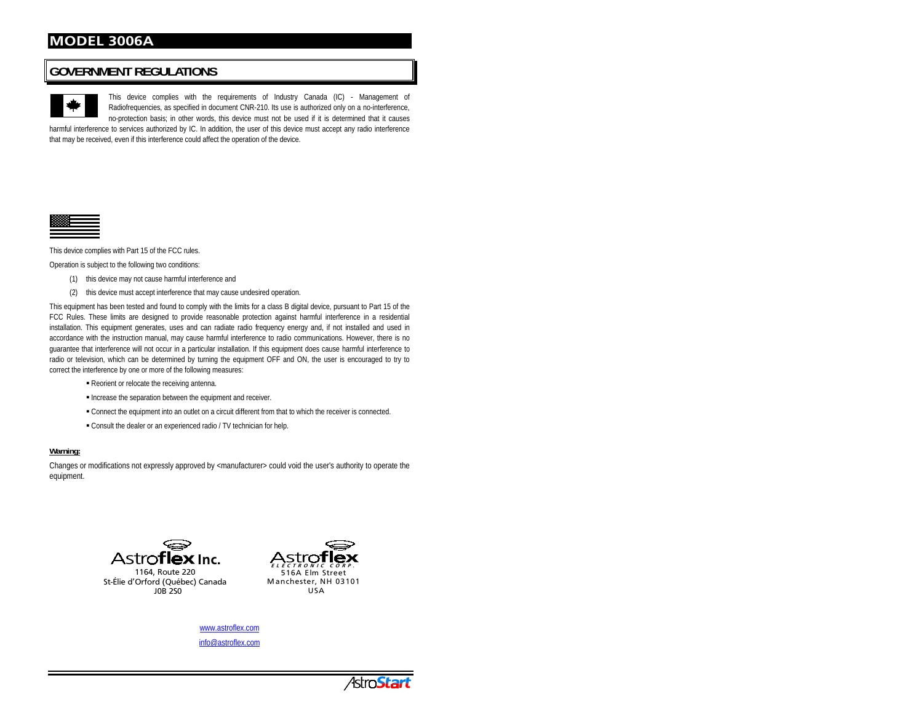# **GOVERNMENT REGULATIONS**

This device complies with the requirements of Industry Canada (IC) - Management of Radiofrequencies, as specified in document CNR-210. Its use is authorized only on a no-interference, no-protection basis; in other words, this device must not be used if it is determined that it causes

harmful interference to services authorized by IC. In addition, the user of this device must accept any radio interference that may be received, even if this interference could affect the operation of the device.



This device complies with Part 15 of the FCC rules.

Operation is subject to the following two conditions:

- (1) this device may not cause harmful interference and
- (2) this device must accept interference that may cause undesired operation.

This equipment has been tested and found to comply with the limits for a class B digital device, pursuant to Part 15 of the FCC Rules. These limits are designed to provide reasonable protection against harmful interference in a residential installation. This equipment generates, uses and can radiate radio frequency energy and, if not installed and used in accordance with the instruction manual, may cause harmful interference to radio communications. However, there is no guarantee that interference will not occur in a particular installation. If this equipment does cause harmful interference to radio or television, which can be determined by turning the equipment OFF and ON, the user is encouraged to try to correct the interference by one or more of the following measures:

- Reorient or relocate the receiving antenna.
- **Increase the separation between the equipment and receiver.**
- Connect the equipment into an outlet on a circuit different from that to which the receiver is connected.
- Consult the dealer or an experienced radio / TV technician for help.

#### **Warning:**

Changes or modifications not expressly approved by <manufacturer> could void the user's authority to operate the equipment.



1164, Route 220 St-Élie d'Orford (Québec) Canada 10B 250



www.astroflex.com info@astroflex.com

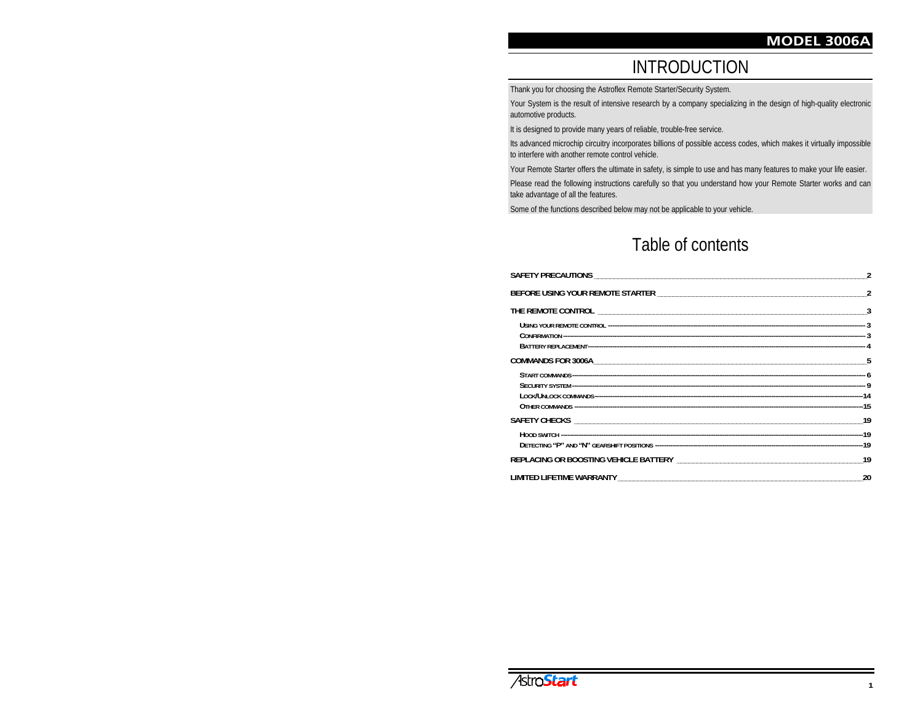# INTRODUCTION

Thank you for choosing the Astroflex Remote Starter/Security System.

Your System is the result of intensive research by a company specializing in the design of high-quality electronic automotive products.

It is designed to provide many years of reliable, trouble-free service.

Its advanced microchip circuitry incorporates billions of possible access codes, which makes it virtually impossible to interfere with another remote control vehicle.

Your Remote Starter offers the ultimate in safety, is simple to use and has many features to make your life easier.

Please read the following instructions carefully so that you understand how your Remote Starter works and can take advantage of all the features.

Some of the functions described below may not be applicable to your vehicle.

# Table of contents

| REPLACING OR BOOSTING VEHICLE BATTERY NAMES AND REPLACING OR BOOSTING VEHICLE BATTERY |    |
|---------------------------------------------------------------------------------------|----|
|                                                                                       | 20 |

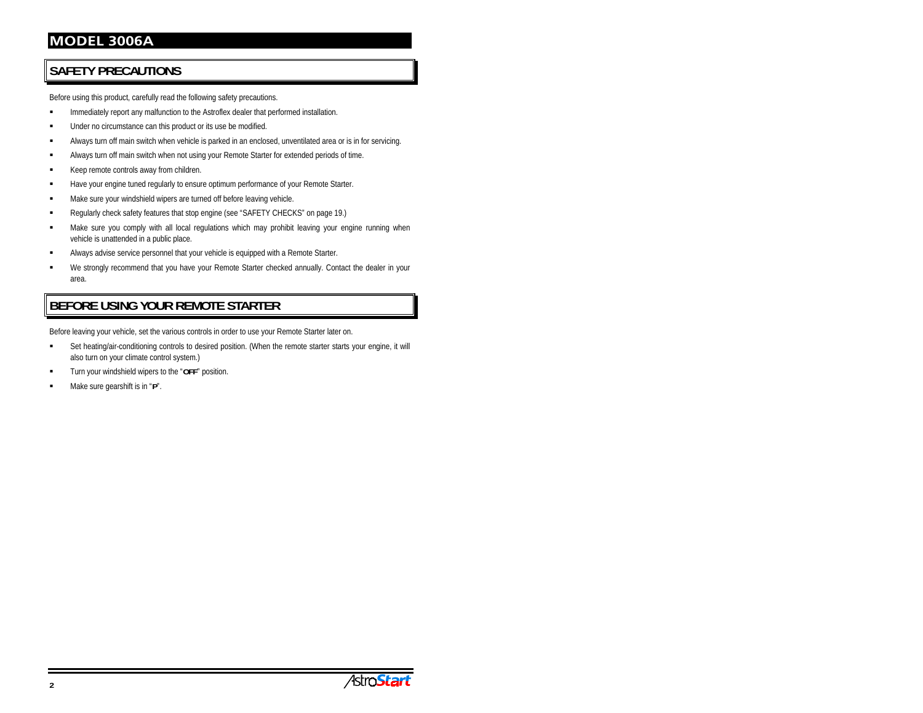# **SAFETY PRECAUTIONS**

Before using this product, carefully read the following safety precautions.

- Immediately report any malfunction to the Astroflex dealer that performed installation.
- Under no circumstance can this product or its use be modified.
- Always turn off main switch when vehicle is parked in an enclosed, unventilated area or is in for servicing.
- Always turn off main switch when not using your Remote Starter for extended periods of time.
- Keep remote controls away from children.
- г Have your engine tuned regularly to ensure optimum performance of your Remote Starter.
- Make sure your windshield wipers are turned off before leaving vehicle.
- Regularly check safety features that stop engine (see "SAFETY CHECKS" on page 19.)
- Make sure you comply with all local regulations which may prohibit leaving your engine running when vehicle is unattended in a public place.
- г Always advise service personnel that your vehicle is equipped with a Remote Starter.
- We strongly recommend that you have your Remote Starter checked annually. Contact the dealer in your area.

# **BEFORE USING YOUR REMOTE STARTER**

Before leaving your vehicle, set the various controls in order to use your Remote Starter later on.

- Set heating/air-conditioning controls to desired position. (When the remote starter starts your engine, it will also turn on your climate control system.)
- Turn your windshield wipers to the "**OFF**" position.
- Make sure gearshift is in "**P**".

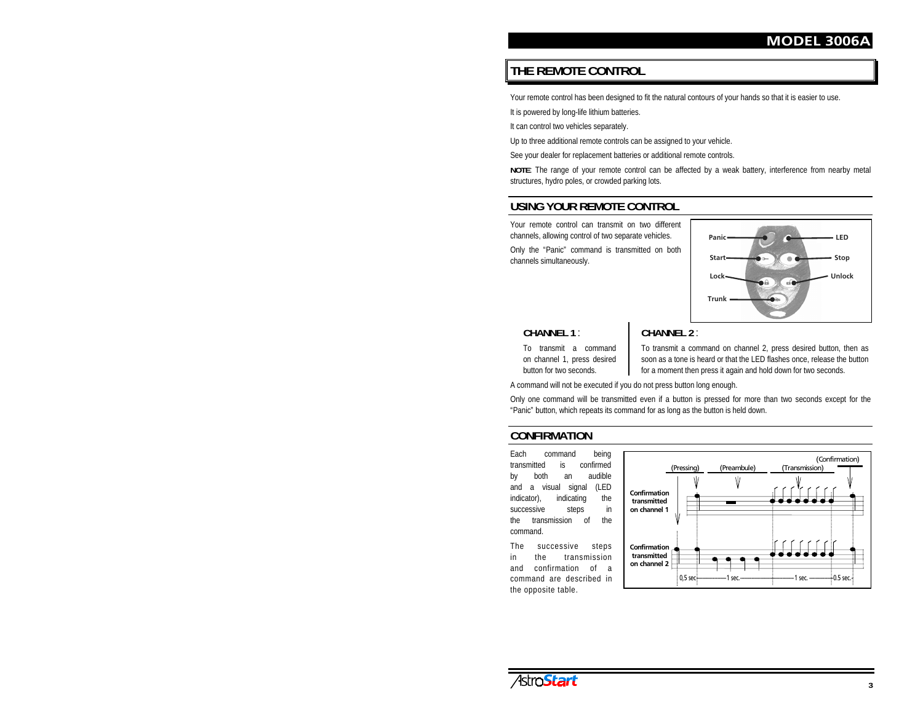# **THE REMOTE CONTROL**

Your remote control has been designed to fit the natural contours of your hands so that it is easier to use.

It is powered by long-life lithium batteries.

It can control two vehicles separately.

Up to three additional remote controls can be assigned to your vehicle.

See your dealer for replacement batteries or additional remote controls.

**NOTE**: The range of your remote control can be affected by a weak battery, interference from nearby metal structures, hydro poles, or crowded parking lots.

# **USING YOUR REMOTE CONTROL**

Your remote control can transmit on two differentchannels, allowing control of two separate vehicles.

Only the "Panic" command is transmitted on both channels simultaneously.



#### **CHANNEL 1** :

**CHANNEL 2** :

To transmit a commandon channel 1, press desired button for two seconds.

To transmit a command on channel 2, press desired button, then as soon as a tone is heard or that the LED flashes once, release the button for a moment then press it again and hold down for two seconds.

A command will not be executed if you do not press button long enough.

Only one command will be transmitted even if a button is pressed for more than two seconds except for the "Panic" button, which repeats its command for as long as the button is held down.

#### **CONFIRMATION**

Each command being transmitted is confirmedby both an audible and a visual signal (LED indicator), indicating the successive steps in the transmission of thecommand.

The successive steps in the transmissionand confirmation of acommand are described inthe opposite table.



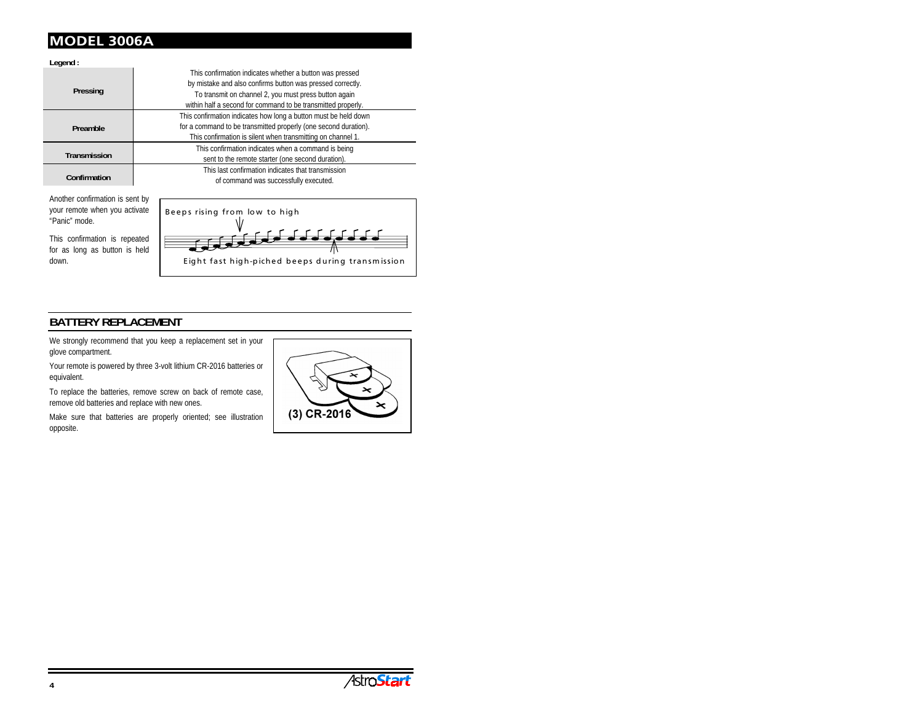**Legend :**

|                     | This confirmation indicates whether a button was pressed        |
|---------------------|-----------------------------------------------------------------|
| Pressing            | by mistake and also confirms button was pressed correctly.      |
|                     | To transmit on channel 2, you must press button again           |
|                     | within half a second for command to be transmitted properly.    |
|                     | This confirmation indicates how long a button must be held down |
| Preamble            | for a command to be transmitted properly (one second duration). |
|                     | This confirmation is silent when transmitting on channel 1.     |
|                     | This confirmation indicates when a command is being             |
| <b>Transmission</b> | sent to the remote starter (one second duration).               |
|                     | This last confirmation indicates that transmission              |
| Confirmation        | of command was successfully executed.                           |
|                     |                                                                 |

Another confirmation is sent by your remote when you activate "Panic" mode.

This confirmation is repeated for as long as button is held down.



# **BATTERY REPLACEMENT**

We strongly recommend that you keep a replacement set in your glove compartment.

Your remote is powered by three 3-volt lithium CR-2016 batteries or equivalent.

To replace the batteries, remove screw on back of remote case, remove old batteries and replace with new ones.

Make sure that batteries are properly oriented; see illustration opposite.



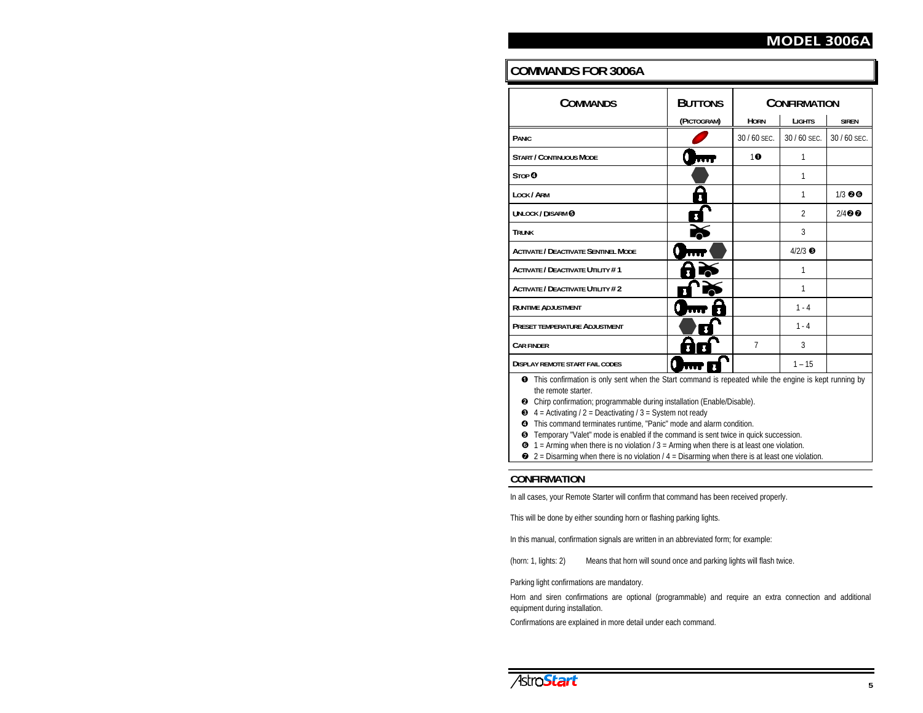# **COMMANDS FOR 3006A**

| <b>COMMANDS</b>                                                                                                                                                                                                      | <b>BUTTONS</b> | <b>CONFIRMATION</b> |                 |                    |
|----------------------------------------------------------------------------------------------------------------------------------------------------------------------------------------------------------------------|----------------|---------------------|-----------------|--------------------|
|                                                                                                                                                                                                                      | (PICTOGRAM)    | <b>HORN</b>         | <b>LIGHTS</b>   | <b>SIREN</b>       |
| <b>PANIC</b>                                                                                                                                                                                                         |                | 30 / 60 SEC.        | 30 / 60 SEC.    | 30 / 60 SEC.       |
| <b>START / CONTINUOUS MODE</b>                                                                                                                                                                                       |                | 10                  | 1               |                    |
| STOP <sup>O</sup>                                                                                                                                                                                                    |                |                     | 1               |                    |
| LOCK / ARM                                                                                                                                                                                                           |                |                     | 1               | $1/3$ 00           |
| UNLOCK / DISARM @                                                                                                                                                                                                    |                |                     | $\overline{2}$  | $2/4$ <sup>O</sup> |
| <b>TRUNK</b>                                                                                                                                                                                                         |                |                     | 3               |                    |
| <b>ACTIVATE / DEACTIVATE SENTINEL MODE</b>                                                                                                                                                                           | n              |                     | $4/2/3$ $\odot$ |                    |
| <b>ACTIVATE / DEACTIVATE UTILITY #1</b>                                                                                                                                                                              |                |                     | 1               |                    |
| <b>ACTIVATE / DEACTIVATE UTILITY #2</b>                                                                                                                                                                              |                |                     | 1               |                    |
| <b>RUNTIME ADJUSTMENT</b>                                                                                                                                                                                            |                |                     | $1 - 4$         |                    |
| <b>PRESET TEMPERATURE ADJUSTMENT</b>                                                                                                                                                                                 |                |                     | $1 - 4$         |                    |
| <b>CAR FINDER</b>                                                                                                                                                                                                    |                | 7                   | 3               |                    |
| <b>DISPLAY REMOTE START FAIL CODES</b>                                                                                                                                                                               |                | $1 - 15$            |                 |                    |
| This confirmation is only sent when the Start command is repeated while the engine is kept running by<br>➊<br>the remote starter.<br><b>2</b> Chirp confirmation; programmable during installation (Enable/Disable). |                |                     |                 |                    |

- $\bullet$  4 = Activating / 2 = Deactivating / 3 = System not ready
- This command terminates runtime, "Panic" mode and alarm condition.
- Temporary "Valet" mode is enabled if the command is sent twice in quick succession.
- $\bullet$  1 = Arming when there is no violation / 3 = Arming when there is at least one violation.
- $\bullet$  2 = Disarming when there is no violation / 4 = Disarming when there is at least one violation.

#### **CONFIRMATION**

In all cases, your Remote Starter will confirm that command has been received properly.

This will be done by either sounding horn or flashing parking lights.

In this manual, confirmation signals are written in an abbreviated form; for example:

(horn: 1, lights: 2) Means that horn will sound once and parking lights will flash twice.

Parking light confirmations are mandatory.

Horn and siren confirmations are optional (programmable) and require an extra connection and additional equipment during installation.

Confirmations are explained in more detail under each command.

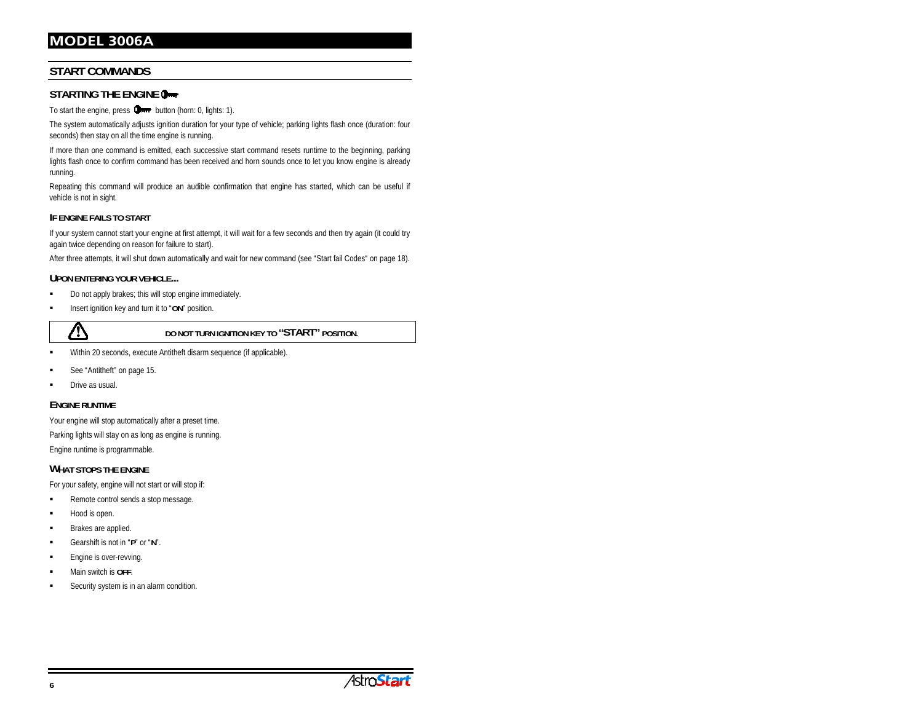## **START COMMANDS**

#### **STARTING THE ENGINE**

To start the engine, press  $\Box$  button (horn: 0, lights: 1).

The system automatically adjusts ignition duration for your type of vehicle; parking lights flash once (duration: four seconds) then stay on all the time engine is running.

If more than one command is emitted, each successive start command resets runtime to the beginning, parking lights flash once to confirm command has been received and horn sounds once to let you know engine is already running.

Repeating this command will produce an audible confirmation that engine has started, which can be useful if vehicle is not in sight.

#### **IF ENGINE FAILS TO START**

If your system cannot start your engine at first attempt, it will wait for a few seconds and then try again (it could try again twice depending on reason for failure to start).

After three attempts, it will shut down automatically and wait for new command (see "Start fail Codes" on page 18).

#### **UPON ENTERING YOUR VEHICLE...**

- Do not apply brakes; this will stop engine immediately.
- Insert ignition key and turn it to "**ON**" position.



**DO NOT TURN IGNITION KEY TO "START" POSITION.**

- г Within 20 seconds, execute Antitheft disarm sequence (if applicable).
- See "Antitheft" on page 15.
- Drive as usual.

#### **ENGINE RUNTIME**

Your engine will stop automatically after a preset time.

Parking lights will stay on as long as engine is running. Engine runtime is programmable.

#### **WHAT STOPS THE ENGINE**

For your safety, engine will not start or will stop if:

- Remote control sends a stop message.
- Hood is open.
- $\blacksquare$ Brakes are applied.
- Gearshift is not in "**P**" or "**N**".
- $\blacksquare$ Engine is over-revving.
- Main switch is **OFF**.
- Security system is in an alarm condition.

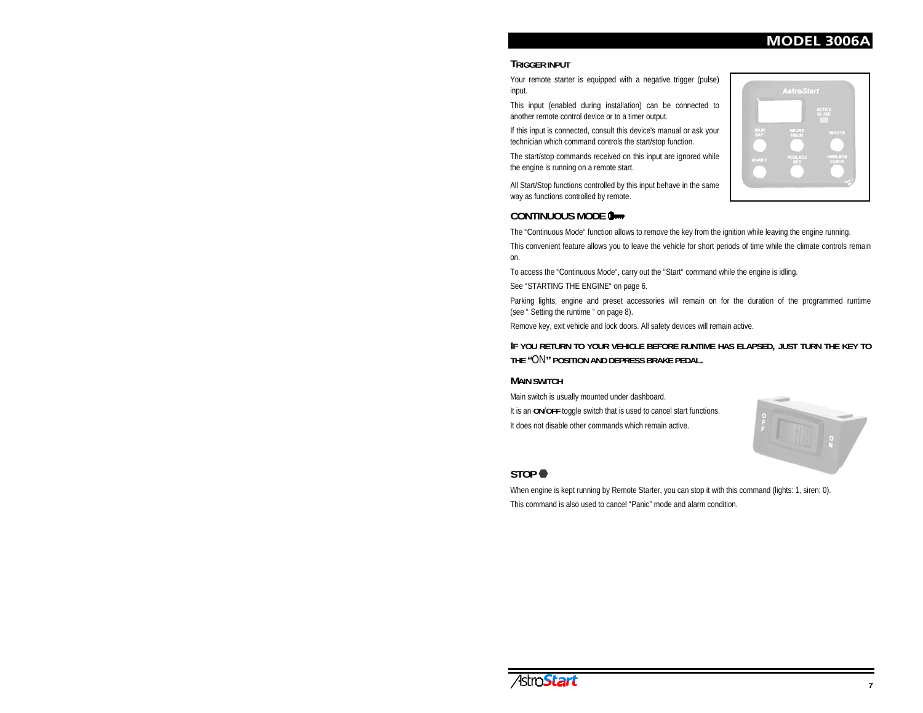#### **TRIGGER INPUT**

Your remote starter is equipped with a negative trigger (pulse) input.

This input (enabled during installation) can be connected to another remote control device or to a timer output.

If this input is connected, consult this device's manual or ask your technician which command controls the start/stop function.

The start/stop commands received on this input are ignored while the engine is running on a remote start.

All Start/Stop functions controlled by this input behave in the same way as functions controlled by remote.



#### **CONTINUOUS MODE**

The "Continuous Mode" function allows to remove the key from the ignition while leaving the engine running.

This convenient feature allows you to leave the vehicle for short periods of time while the climate controls remain on.

To access the "Continuous Mode", carry out the "Start" command while the engine is idling.

See "STARTING THE ENGINE" on page 6.

Parking lights, engine and preset accessories will remain on for the duration of the programmed runtime (see " Setting the runtime " on page 8).

Remove key, exit vehicle and lock doors. All safety devices will remain active.

#### **IF YOU RETURN TO YOUR VEHICLE BEFORE RUNTIME HAS ELAPSED, JUST TURN THE KEY TO THE "**ON**" POSITION AND DEPRESS BRAKE PEDAL.**

#### **MAIN SWITCH**

Main switch is usually mounted under dashboard. It is an **ON**/**OFF** toggle switch that is used to cancel start functions. It does not disable other commands which remain active.



# **STOP**

When engine is kept running by Remote Starter, you can stop it with this command (lights: 1, siren: 0). This command is also used to cancel "Panic" mode and alarm condition.

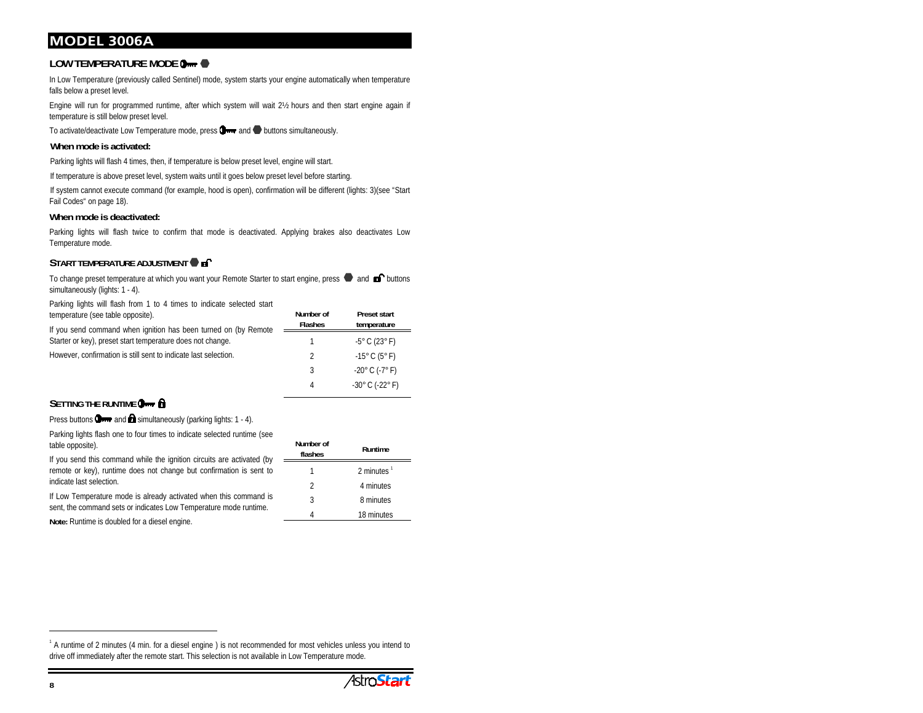## **LOW TEMPERATURE MODE**

In Low Temperature (previously called Sentinel) mode, system starts your engine automatically when temperature falls below a preset level.

Engine will run for programmed runtime, after which system will wait 2½ hours and then start engine again if temperature is still below preset level.

To activate/deactivate Low Temperature mode, press  $\Box$  and  $\Box$  buttons simultaneously.

#### **When mode is activated:**

Parking lights will flash 4 times, then, if temperature is below preset level, engine will start.

If temperature is above preset level, system waits until it goes below preset level before starting.

If system cannot execute command (for example, hood is open), confirmation will be different (lights: 3)(see "Start Fail Codes" on page 18).

#### **When mode is deactivated:**

Parking lights will flash twice to confirm that mode is deactivated. Applying brakes also deactivates Low Temperature mode.

#### **START TEMPERATURE ADJUSTMENT**

To change preset temperature at which you want your Remote Starter to start engine, press  $\bullet$  and  $\bullet$  buttons simultaneously (lights: 1 - 4).

Parking lights will flash from 1 to 4 times to indicate selected start temperature (see table opposite).

If you send command when ignition has been turned on (by Remote Starter or key), preset start temperature does not change. However, confirmation is still sent to indicate last selection. **Flashes temperature** 1 -5° C (23° F) 2 -15° C (5° F) 3  $-20^{\circ}$  C (-7° F)

#### **SETTING THE RUNTIME O**<sub>111</sub></sub>

Press buttons  $\Box$  and  $\Box$  simultaneously (parking lights: 1 - 4).

Parking lights flash one to four times to indicate selected runtime (see table opposite).

If you send this command while the ignition circuits are activated (by = remote or key), runtime does not change but confirmation is sent to indicate last selection.

If Low Temperature mode is already activated when this command is sent, the command sets or indicates Low Temperature mode runtime.

**Note:** Runtime is doubled for a diesel engine.

| Number of<br>flashes | Runtime       |
|----------------------|---------------|
|                      | 2 minutes $1$ |
| 2                    | 4 minutes     |
| 3                    | 8 minutes     |
|                      | 18 minutes    |

4 -30° C (-22° F)

**Preset start**

**Number of**

<sup>&</sup>lt;sup>1</sup> A runtime of 2 minutes (4 min. for a diesel engine) is not recommended for most vehicles unless you intend to drive off immediately after the remote start. This selection is not available in Low Temperature mode.

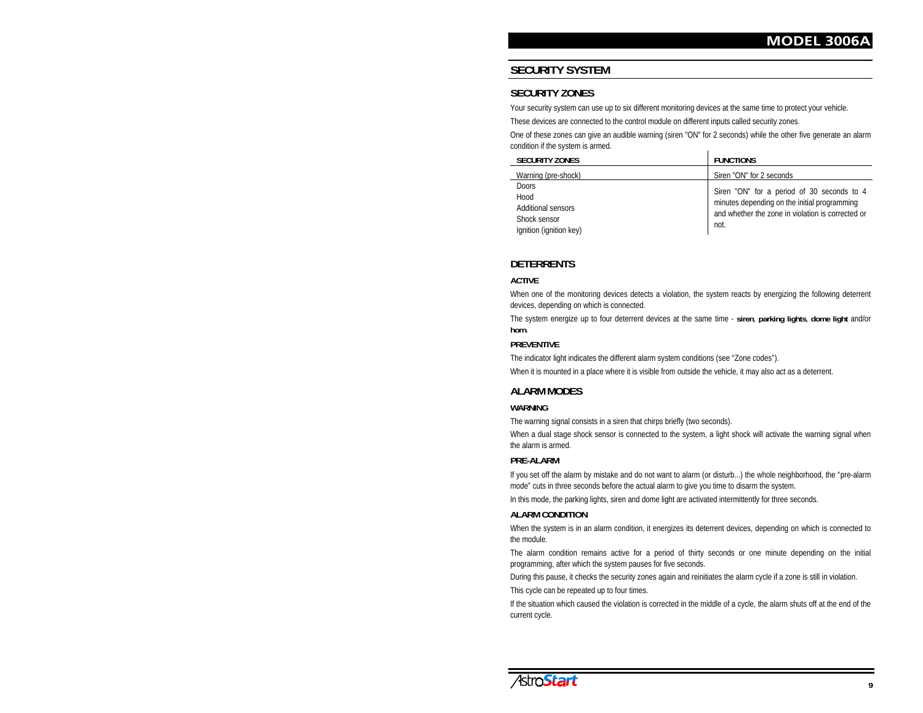# **SECURITY SYSTEM**

#### **SECURITY ZONES**

Your security system can use up to six different monitoring devices at the same time to protect your vehicle.

These devices are connected to the control module on different inputs called security zones.

One of these zones can give an audible warning (siren "ON" for 2 seconds) while the other five generate an alarm condition if the system is armed.

| <b>SECURITY ZONES</b>                                                                        | <b>FUNCTIONS</b>                                                                                                                                        |
|----------------------------------------------------------------------------------------------|---------------------------------------------------------------------------------------------------------------------------------------------------------|
| Warning (pre-shock)                                                                          | Siren "ON" for 2 seconds                                                                                                                                |
| <b>Doors</b><br>Hood<br><b>Additional sensors</b><br>Shock sensor<br>Ignition (ignition key) | Siren "ON" for a period of 30 seconds to 4<br>minutes depending on the initial programming<br>and whether the zone in violation is corrected or<br>not. |

#### **DETERRENTS**

#### **ACTIVE**

When one of the monitoring devices detects a violation, the system reacts by energizing the following deterrent devices, depending on which is connected.

The system energize up to four deterrent devices at the same time - **siren**, **parking lights**, **dome light** and/or **horn**.

#### **PREVENTIVE**

The indicator light indicates the different alarm system conditions (see "Zone codes").

When it is mounted in a place where it is visible from outside the vehicle, it may also act as a deterrent.

#### **ALARM MODES**

#### **WARNING**

The warning signal consists in a siren that chirps briefly (two seconds).

When a dual stage shock sensor is connected to the system, a light shock will activate the warning signal when the alarm is armed.

#### **PRE-ALARM**

If you set off the alarm by mistake and do not want to alarm (or disturb...) the whole neighborhood, the "pre-alarm mode" cuts in three seconds before the actual alarm to give you time to disarm the system.

In this mode, the parking lights, siren and dome light are activated intermittently for three seconds.

#### **ALARM CONDITION**

When the system is in an alarm condition, it energizes its deterrent devices, depending on which is connected to the module.

The alarm condition remains active for a period of thirty seconds or one minute depending on the initial programming, after which the system pauses for five seconds.

During this pause, it checks the security zones again and reinitiates the alarm cycle if a zone is still in violation.

This cycle can be repeated up to four times.

If the situation which caused the violation is corrected in the middle of a cycle, the alarm shuts off at the end of the current cycle.

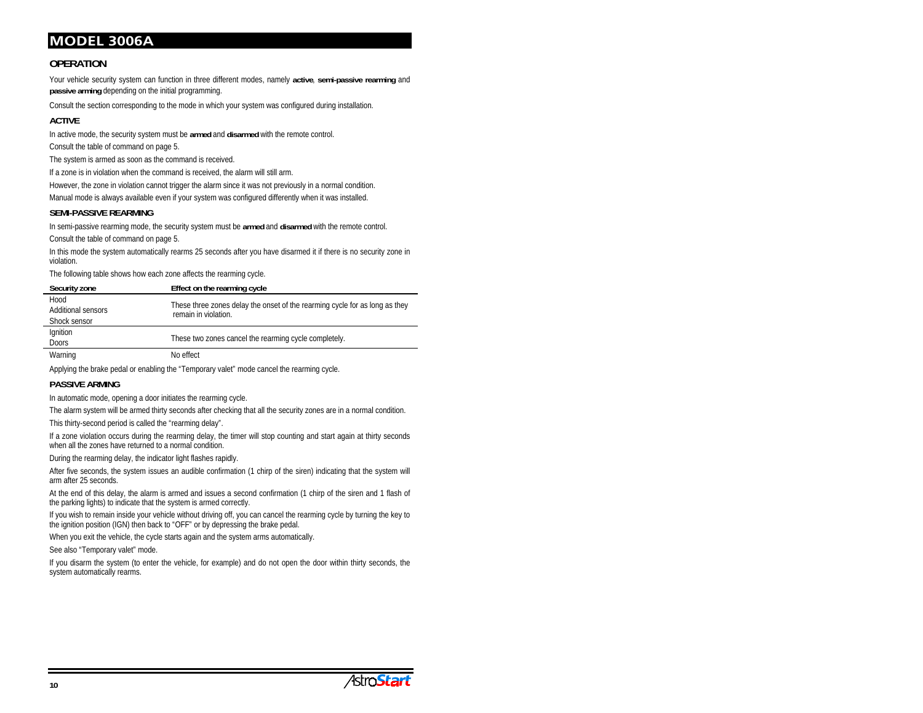#### **OPERATION**

Your vehicle security system can function in three different modes, namely **active**, **semi-passive rearming** and **passive arming** depending on the initial programming.

Consult the section corresponding to the mode in which your system was configured during installation.

#### **ACTIVE**

In active mode, the security system must be **armed** and **disarmed** with the remote control.

Consult the table of command on page 5.

The system is armed as soon as the command is received.

If a zone is in violation when the command is received, the alarm will still arm.

However, the zone in violation cannot trigger the alarm since it was not previously in a normal condition.

Manual mode is always available even if your system was configured differently when it was installed.

#### **SEMI-PASSIVE REARMING**

In semi-passive rearming mode, the security system must be **armed** and **disarmed** with the remote control. Consult the table of command on page 5.

In this mode the system automatically rearms 25 seconds after you have disarmed it if there is no security zone in violation.

The following table shows how each zone affects the rearming cycle.

| Security zone                                     | Effect on the rearming cycle                                                                        |
|---------------------------------------------------|-----------------------------------------------------------------------------------------------------|
| Hood<br><b>Additional sensors</b><br>Shock sensor | These three zones delay the onset of the rearming cycle for as long as they<br>remain in violation. |
| Ignition<br><b>Doors</b>                          | These two zones cancel the rearming cycle completely.                                               |
| Warning                                           | No effect                                                                                           |

Applying the brake pedal or enabling the "Temporary valet" mode cancel the rearming cycle.

#### **PASSIVE ARMING**

In automatic mode, opening a door initiates the rearming cycle.

The alarm system will be armed thirty seconds after checking that all the security zones are in a normal condition.

This thirty-second period is called the "rearming delay".

If a zone violation occurs during the rearming delay, the timer will stop counting and start again at thirty seconds when all the zones have returned to a normal condition.

During the rearming delay, the indicator light flashes rapidly.

After five seconds, the system issues an audible confirmation (1 chirp of the siren) indicating that the system will arm after 25 seconds.

At the end of this delay, the alarm is armed and issues a second confirmation (1 chirp of the siren and 1 flash of the parking lights) to indicate that the system is armed correctly.

If you wish to remain inside your vehicle without driving off, you can cancel the rearming cycle by turning the key to the ignition position (IGN) then back to "OFF" or by depressing the brake pedal.

When you exit the vehicle, the cycle starts again and the system arms automatically.

See also "Temporary valet" mode.

If you disarm the system (to enter the vehicle, for example) and do not open the door within thirty seconds, the system automatically rearms.

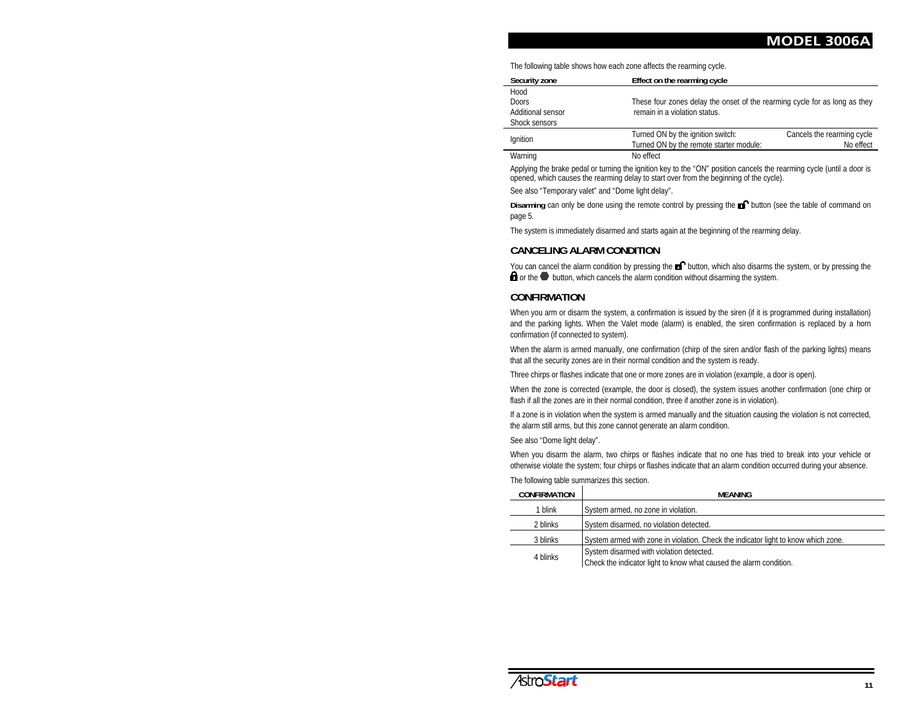The following table shows how each zone affects the rearming cycle.

| <b>Security zone</b> | Effect on the rearming cycle                                               |                            |
|----------------------|----------------------------------------------------------------------------|----------------------------|
| Hood                 |                                                                            |                            |
| <b>Doors</b>         | These four zones delay the onset of the rearming cycle for as long as they |                            |
| Additional sensor    | remain in a violation status.                                              |                            |
| Shock sensors        |                                                                            |                            |
| Ignition             | Turned ON by the ignition switch:                                          | Cancels the rearming cycle |
|                      | Turned ON by the remote starter module:                                    | No effect                  |

Warning No effect

Applying the brake pedal or turning the ignition key to the "ON" position cancels the rearming cycle (until a door is opened, which causes the rearming delay to start over from the beginning of the cycle).

See also "Temporary valet" and "Dome light delay".

**Disarming** can only be done using the remote control by pressing the **D** button (see the table of command on page 5*.*

The system is immediately disarmed and starts again at the beginning of the rearming delay.

#### **CANCELING ALARM CONDITION**

You can cancel the alarm condition by pressing the **B**<sup>1</sup> button, which also disarms the system, or by pressing the  $\blacksquare$  or the  $\blacksquare$  button, which cancels the alarm condition without disarming the system.

#### **CONFIRMATION**

When you arm or disarm the system, a confirmation is issued by the siren (if it is programmed during installation) and the parking lights. When the Valet mode (alarm) is enabled, the siren confirmation is replaced by a horn confirmation (if connected to system).

When the alarm is armed manually, one confirmation (chirp of the siren and/or flash of the parking lights) means that all the security zones are in their normal condition and the system is ready.

Three chirps or flashes indicate that one or more zones are in violation (example, a door is open).

When the zone is corrected (example, the door is closed), the system issues another confirmation (one chirp or flash if all the zones are in their normal condition, three if another zone is in violation).

If a zone is in violation when the system is armed manually and the situation causing the violation is not corrected, the alarm still arms, but this zone cannot generate an alarm condition.

See also "Dome light delay".

When you disarm the alarm, two chirps or flashes indicate that no one has tried to break into your vehicle or otherwise violate the system; four chirps or flashes indicate that an alarm condition occurred during your absence.

The following table summarizes this section.

| <b>CONFIRMATION</b> | MFANING                                                                                                        |
|---------------------|----------------------------------------------------------------------------------------------------------------|
| 1 blink             | System armed, no zone in violation.                                                                            |
| 2 blinks            | System disarmed, no violation detected.                                                                        |
| 3 blinks            | System armed with zone in violation. Check the indicator light to know which zone.                             |
| 4 blinks            | System disarmed with violation detected.<br>Check the indicator light to know what caused the alarm condition. |

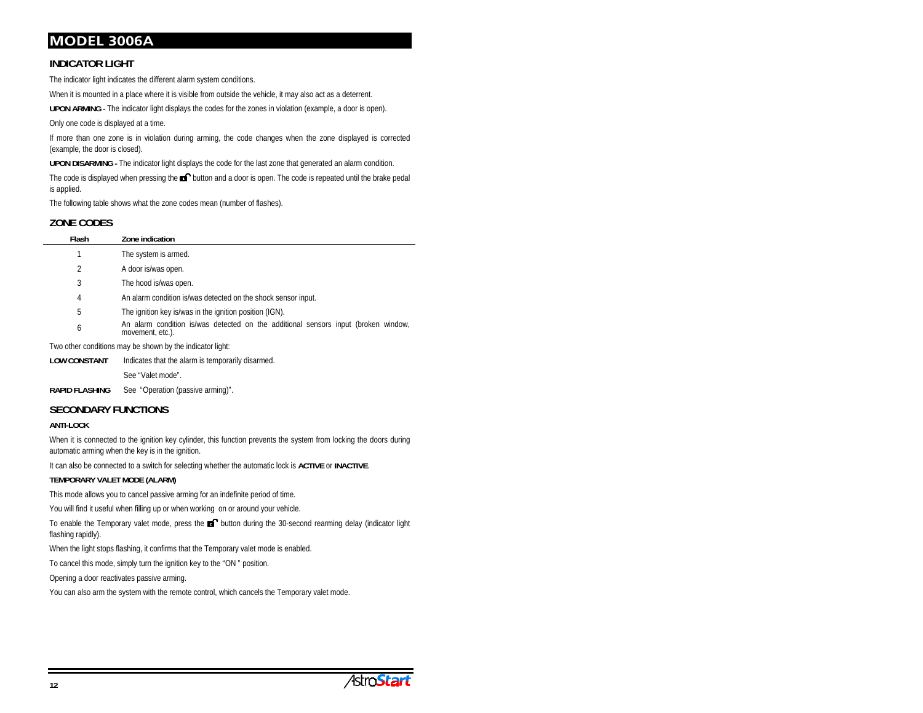#### **INDICATOR LIGHT**

The indicator light indicates the different alarm system conditions.

When it is mounted in a place where it is visible from outside the vehicle, it may also act as a deterrent.

**UPON ARMING -** The indicator light displays the codes for the zones in violation (example, a door is open).

Only one code is displayed at a time.

If more than one zone is in violation during arming, the code changes when the zone displayed is corrected (example, the door is closed).

**UPON DISARMING -** The indicator light displays the code for the last zone that generated an alarm condition.

The code is displayed when pressing the  $\blacksquare$  button and a door is open. The code is repeated until the brake pedal is applied.

The following table shows what the zone codes mean (number of flashes).

#### **ZONE CODES**

| Flash | Zone indication                                                                                        |
|-------|--------------------------------------------------------------------------------------------------------|
|       | The system is armed.                                                                                   |
| 2     | A door is/was open.                                                                                    |
| 3     | The hood is/was open.                                                                                  |
| 4     | An alarm condition is/was detected on the shock sensor input.                                          |
| 5     | The ignition key is/was in the ignition position (IGN).                                                |
| 6     | An alarm condition is/was detected on the additional sensors input (broken window,<br>movement, etc.). |
|       | Ture athay sanditions mou ha shoun butha indicator light.                                              |

Two other conditions may be shown by the indicator light:

**LOW CONSTANT**Indicates that the alarm is temporarily disarmed.

See "Valet mode".

RAPID FLASHING See "Operation (passive arming)".

#### **SECONDARY FUNCTIONS**

#### **ANTI-LOCK**

When it is connected to the ignition key cylinder, this function prevents the system from locking the doors during automatic arming when the key is in the ignition.

It can also be connected to a switch for selecting whether the automatic lock is **ACTIVE** or **INACTIVE**.

#### **TEMPORARY VALET MODE (ALARM)**

This mode allows you to cancel passive arming for an indefinite period of time.

You will find it useful when filling up or when working on or around your vehicle.

To enable the Temporary valet mode, press the **Ex** button during the 30-second rearming delay (indicator light flashing rapidly).

When the light stops flashing, it confirms that the Temporary valet mode is enabled.

To cancel this mode, simply turn the ignition key to the "ON " position.

Opening a door reactivates passive arming.

You can also arm the system with the remote control, which cancels the Temporary valet mode.

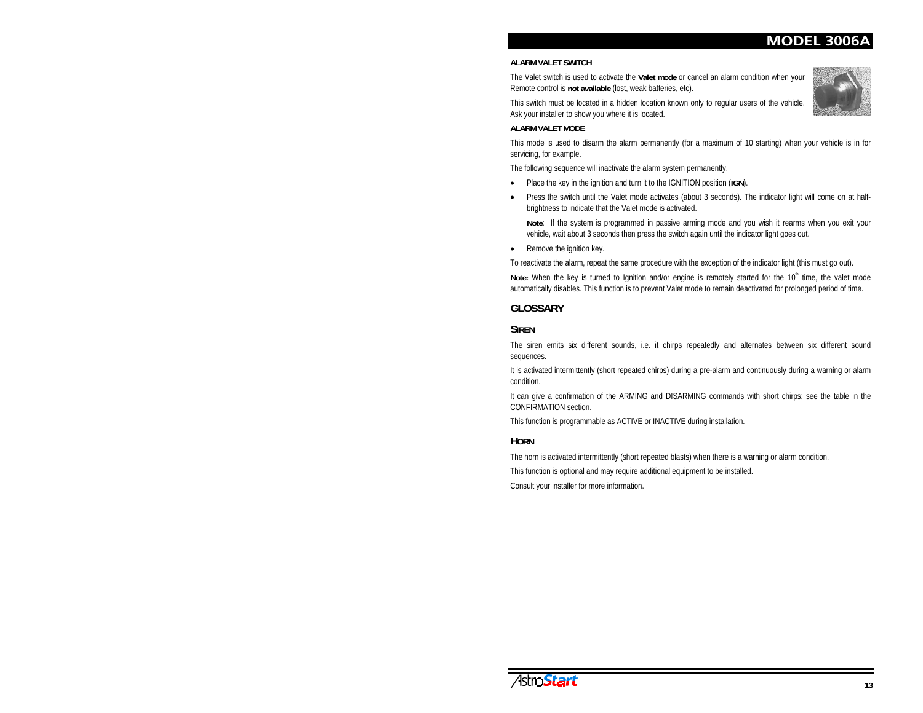# **MODEL 3006**

#### **ALARM VALET SWITCH**

The Valet switch is used to activate the **Valet mode** or cancel an alarm condition when your Remote control is **not available** (lost, weak batteries, etc).

This switch must be located in a hidden location known only to regular users of the vehicle. Ask your installer to show you where it is located.

#### **ALARM VALET MODE**

This mode is used to disarm the alarm permanently (for a maximum of 10 starting) when your vehicle is in for servicing, for example.

The following sequence will inactivate the alarm system permanently.

- xPlace the key in the ignition and turn it to the IGNITION position (**IGN**).
- $\bullet$  Press the switch until the Valet mode activates (about 3 seconds). The indicator light will come on at halfbrightness to indicate that the Valet mode is activated.

**Note**: If the system is programmed in passive arming mode and you wish it rearms when you exit your vehicle, wait about 3 seconds then press the switch again until the indicator light goes out.

 $\bullet$ Remove the ignition key.

To reactivate the alarm, repeat the same procedure with the exception of the indicator light (this must go out).

Note: When the key is turned to Ignition and/or engine is remotely started for the 10<sup>th</sup> time, the valet mode automatically disables. This function is to prevent Valet mode to remain deactivated for prolonged period of time.

#### **GLOSSARY**

#### **SIREN**

The siren emits six different sounds, i.e. it chirps repeatedly and alternates between six different sound sequences.

It is activated intermittently (short repeated chirps) during a pre-alarm and continuously during a warning or alarm condition.

It can give a confirmation of the ARMING and DISARMING commands with short chirps; see the table in the CONFIRMATION section.

This function is programmable as ACTIVE or INACTIVE during installation.

#### **HORN**

The horn is activated intermittently (short repeated blasts) when there is a warning or alarm condition.

This function is optional and may require additional equipment to be installed.

Consult your installer for more information.





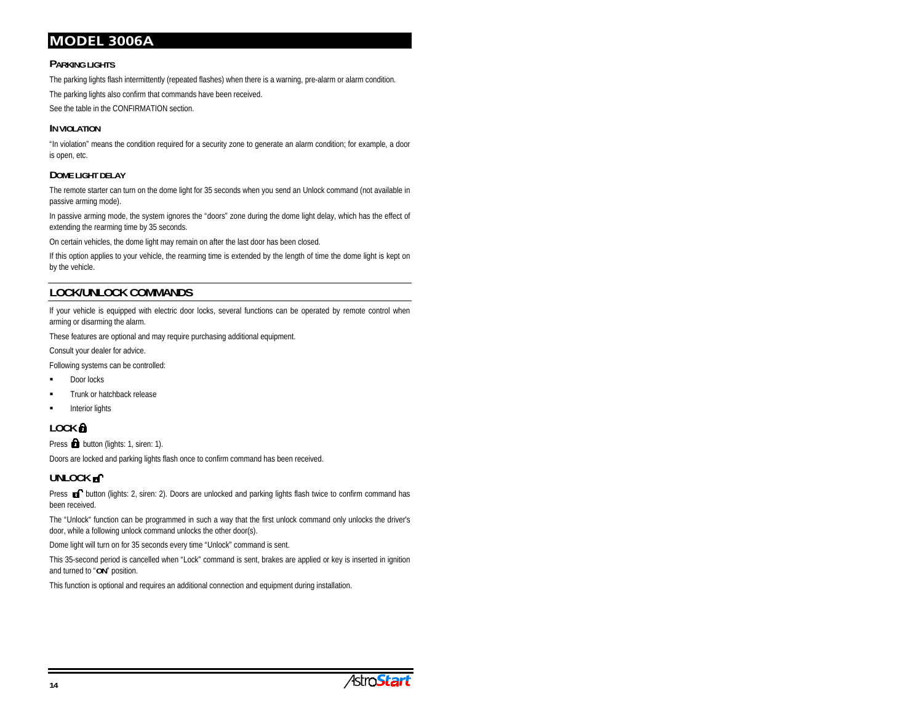#### **PARKING LIGHTS**

The parking lights flash intermittently (repeated flashes) when there is a warning, pre-alarm or alarm condition.

The parking lights also confirm that commands have been received.

See the table in the CONFIRMATION section.

#### **IN VIOLATION**

"In violation" means the condition required for a security zone to generate an alarm condition; for example, a door is open, etc.

#### **DOME LIGHT DELAY**

The remote starter can turn on the dome light for 35 seconds when you send an Unlock command (not available in passive arming mode).

In passive arming mode, the system ignores the "doors" zone during the dome light delay, which has the effect of extending the rearming time by 35 seconds.

On certain vehicles, the dome light may remain on after the last door has been closed.

If this option applies to your vehicle, the rearming time is extended by the length of time the dome light is kept on by the vehicle.

# **LOCK/UNLOCK COMMANDS**

If your vehicle is equipped with electric door locks, several functions can be operated by remote control when arming or disarming the alarm.

These features are optional and may require purchasing additional equipment.

Consult your dealer for advice.

Following systems can be controlled:

- Door locks
- Trunk or hatchback release
- Interior lights

# **LOCK**

Press **button** (lights: 1, siren: 1).

Doors are locked and parking lights flash once to confirm command has been received.

## UNLOCK **of**

Press **a** button (lights: 2, siren: 2). Doors are unlocked and parking lights flash twice to confirm command has been received.

The "Unlock" function can be programmed in such a way that the first unlock command only unlocks the driver's door, while a following unlock command unlocks the other door(s).

Dome light will turn on for 35 seconds every time "Unlock" command is sent.

This 35-second period is cancelled when "Lock" command is sent, brakes are applied or key is inserted in ignition and turned to "**ON**" position.

This function is optional and requires an additional connection and equipment during installation.

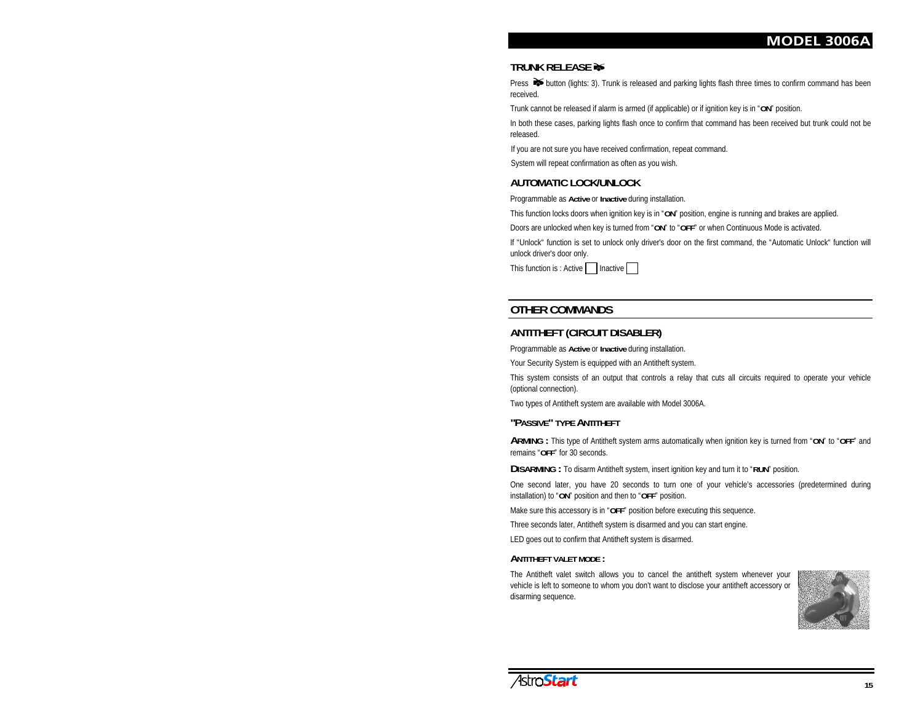#### **TRUNK RELEASE**

Press  $\blacktriangleright$  button (lights: 3). Trunk is released and parking lights flash three times to confirm command has been received.

Trunk cannot be released if alarm is armed (if applicable) or if ignition key is in "**ON**" position.

In both these cases, parking lights flash once to confirm that command has been received but trunk could not be released.

If you are not sure you have received confirmation, repeat command.

System will repeat confirmation as often as you wish.

#### **AUTOMATIC LOCK/UNLOCK**

Programmable as **Active** or **Inactive** during installation.

This function locks doors when ignition key is in "**ON**" position, engine is running and brakes are applied.

Doors are unlocked when key is turned from "**ON**" to "**OFF**" or when Continuous Mode is activated.

If "Unlock" function is set to unlock only driver's door on the first command, the "Automatic Unlock" function will unlock driver's door only.

This function is : Active | | Inactive

#### **OTHER COMMANDS**

#### **ANTITHEFT (CIRCUIT DISABLER)**

Programmable as **Active** or **Inactive** during installation.

Your Security System is equipped with an Antitheft system.

This system consists of an output that controls a relay that cuts all circuits required to operate your vehicle (optional connection).

Two types of Antitheft system are available with Model 3006A.

#### **"PASSIVE" TYPE ANTITHEFT**

**ARMING :** This type of Antitheft system arms automatically when ignition key is turned from "**ON**" to "**OFF**" and remains "**OFF**" for 30 seconds.

**DISARMING :** To disarm Antitheft system, insert ignition key and turn it to "**RUN**" position.

One second later, you have 20 seconds to turn one of your vehicle's accessories (predetermined during installation) to "**ON**" position and then to "**OFF**" position.

Make sure this accessory is in "**OFF**" position before executing this sequence.

Three seconds later, Antitheft system is disarmed and you can start engine.

LED goes out to confirm that Antitheft system is disarmed.

#### **ANTITHEFT VALET MODE :**

The Antitheft valet switch allows you to cancel the antitheft system whenever your vehicle is left to someone to whom you don't want to disclose your antitheft accessory or disarming sequence.



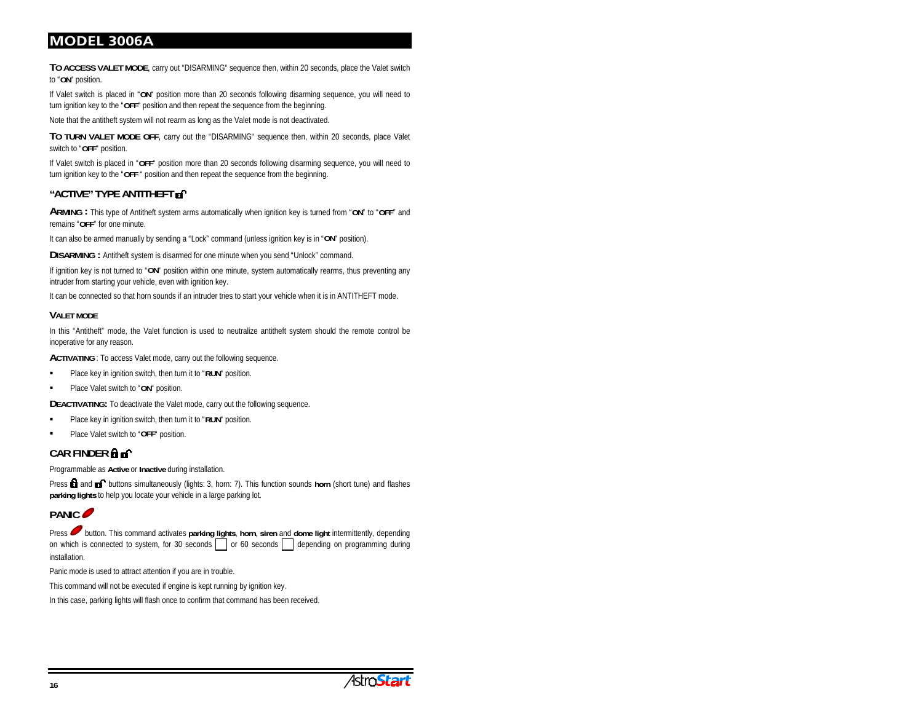**TO ACCESS VALET MODE**, carry out "DISARMING" sequence then, within 20 seconds, place the Valet switch to "**ON**" position.

If Valet switch is placed in "**ON**" position more than 20 seconds following disarming sequence, you will need to turn ignition key to the "**OFF**" position and then repeat the sequence from the beginning.

Note that the antitheft system will not rearm as long as the Valet mode is not deactivated.

**TO TURN VALET MODE OFF**, carry out the "DISARMING" sequence then, within 20 seconds, place Valet switch to "**OFF**" position.

If Valet switch is placed in "**OFF**" position more than 20 seconds following disarming sequence, you will need to turn ignition key to the "**OFF** " position and then repeat the sequence from the beginning.

#### **"ACTIVE" TYPE ANTITHEFT**

**ARMING :** This type of Antitheft system arms automatically when ignition key is turned from "**ON**" to "**OFF**" and remains "**OFF**" for one minute.

It can also be armed manually by sending a "Lock" command (unless ignition key is in "**ON**" position).

**DISARMING :** Antitheft system is disarmed for one minute when you send "Unlock" command.

If ignition key is not turned to "**ON**" position within one minute, system automatically rearms, thus preventing any intruder from starting your vehicle, even with ignition key.

It can be connected so that horn sounds if an intruder tries to start your vehicle when it is in ANTITHEFT mode.

#### **VALET MODE**

In this "Antitheft" mode, the Valet function is used to neutralize antitheft system should the remote control be inoperative for any reason.

**ACTIVATING** : To access Valet mode, carry out the following sequence.

- Place key in ignition switch, then turn it to "**RUN**" position.
- Place Valet switch to "**ON**" position.

**DEACTIVATING:** To deactivate the Valet mode, carry out the following sequence.

- Place key in ignition switch, then turn it to "**RUN**" position.
- $\blacksquare$ Place Valet switch to "**OFF**" position.

#### **CAR FINDER**

Programmable as **Active** or **Inactive** during installation.

Press **and all buttons simultaneously (lights: 3, horn: 7).** This function sounds **horn** (short tune) and flashes **parking lights** to help you locate your vehicle in a large parking lot.

## **PANIC**

Press button. This command activates parking lights, horn, siren and dome light intermittently, depending on which is connected to system, for 30 seconds  $\Box$  or 60 seconds  $\Box$  depending on programming during installation.

Panic mode is used to attract attention if you are in trouble.

This command will not be executed if engine is kept running by ignition key.

In this case, parking lights will flash once to confirm that command has been received.

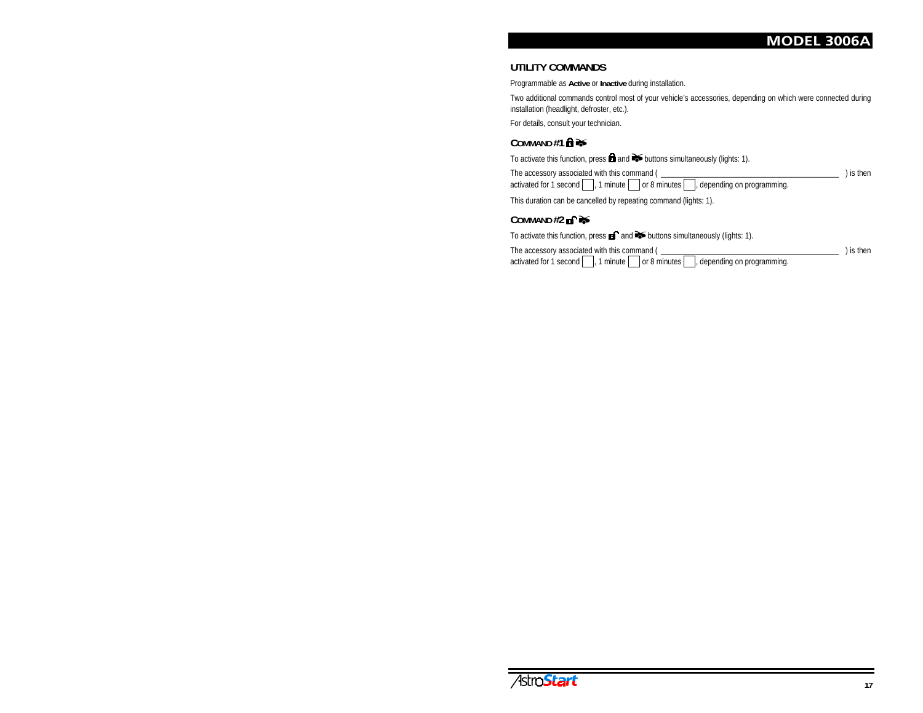#### **UTILITY COMMANDS**

Programmable as **Active** or **Inactive** during installation.

Two additional commands control most of your vehicle's accessories, depending on which were connected during installation (headlight, defroster, etc.).

For details, consult your technician.

#### COMMAND #1 **∩**  $\rightarrow$

To activate this function, press **and** and  $\blacktriangleright$  buttons simultaneously (lights: 1).

The accessory associated with this command ( \_\_\_\_\_\_\_\_\_\_\_\_\_\_\_\_\_\_\_\_\_\_\_\_\_\_\_\_\_\_\_\_\_\_\_\_\_\_\_\_\_\_\_\_\_ ) is then activated for  $1$  second  $\Box$ , 1 minute  $\Box$  or 8 minutes  $\Box$ , depending on programming.

This duration can be cancelled by repeating command (lights: 1).

#### **COMMAND #2**

To activate this function, press **and** and  $\blacktriangleright$  buttons simultaneously (lights: 1).

The accessory associated with this command ( \_\_\_\_\_\_\_\_\_\_\_\_\_\_\_\_\_\_\_\_\_\_\_\_\_\_\_\_\_\_\_\_\_\_\_\_\_\_\_\_\_\_\_\_\_ ) is then activated for  $1$  second  $\Box$ , 1 minute  $\Box$  or 8 minutes  $\Box$ , depending on programming.

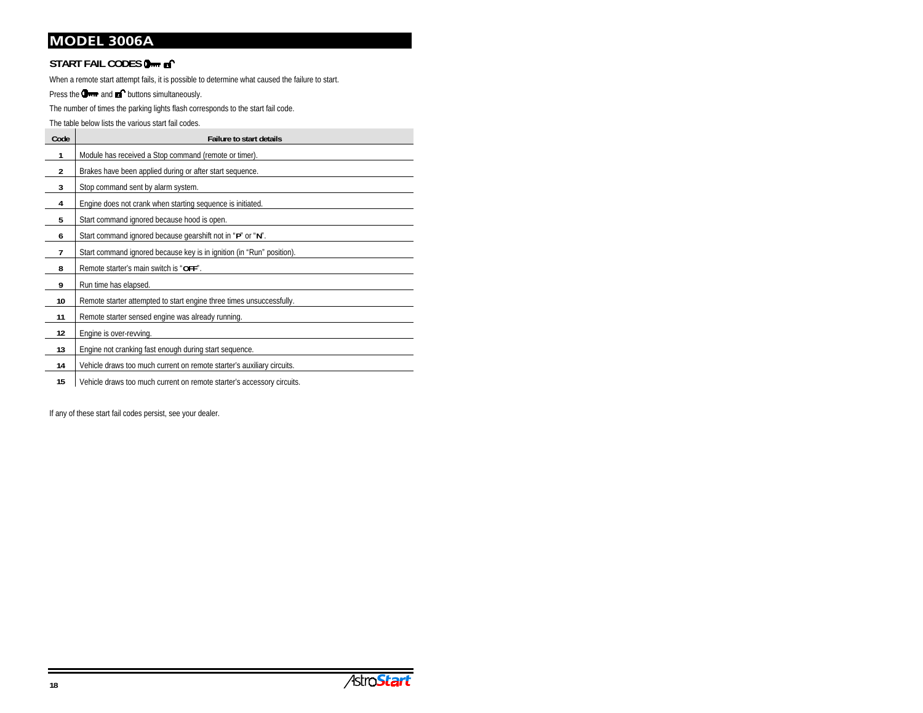## **START FAIL CODES**

When a remote start attempt fails, it is possible to determine what caused the failure to start.

Press the  $\Box$  and  $\Box$  buttons simultaneously.

The number of times the parking lights flash corresponds to the start fail code.

The table below lists the various start fail codes.

| Code           | <b>Failure to start details</b>                                        |
|----------------|------------------------------------------------------------------------|
| 1              | Module has received a Stop command (remote or timer).                  |
| $\overline{2}$ | Brakes have been applied during or after start sequence.               |
| 3              | Stop command sent by alarm system.                                     |
| 4              | Engine does not crank when starting sequence is initiated.             |
| 5              | Start command ignored because hood is open.                            |
| 6              | Start command ignored because gearshift not in "P" or "N".             |
| 7              | Start command ignored because key is in ignition (in "Run" position).  |
| 8              | Remote starter's main switch is "OFF".                                 |
| 9              | Run time has elapsed.                                                  |
| 10             | Remote starter attempted to start engine three times unsuccessfully.   |
| 11             | Remote starter sensed engine was already running.                      |
| 12             | Engine is over-revving.                                                |
| 13             | Engine not cranking fast enough during start sequence.                 |
| 14             | Vehicle draws too much current on remote starter's auxiliary circuits. |
| 15             | Vehicle draws too much current on remote starter's accessory circuits. |

If any of these start fail codes persist, see your dealer.

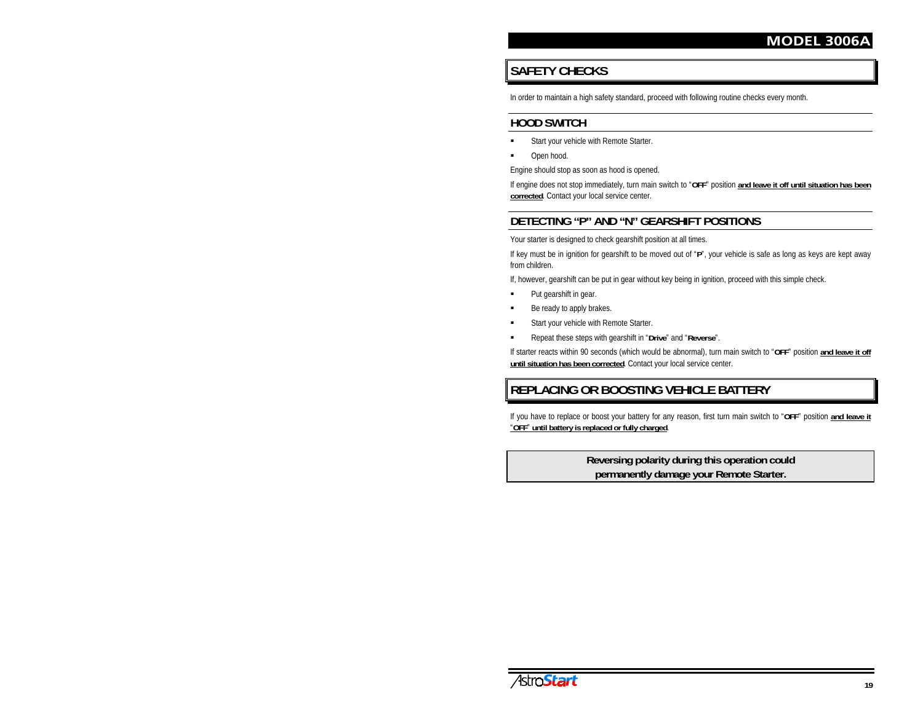# **SAFETY CHECKS**

In order to maintain a high safety standard, proceed with following routine checks every month.

# **HOOD SWITCH**

- u Start your vehicle with Remote Starter.
- ۳ Open hood.

Engine should stop as soon as hood is opened.

If engine does not stop immediately, turn main switch to "**OFF**" position **and leave it off until situation has been corrected**. Contact your local service center.

# **DETECTING "P" AND "N" GEARSHIFT POSITIONS**

Your starter is designed to check gearshift position at all times.

If key must be in ignition for gearshift to be moved out of "**P**", your vehicle is safe as long as keys are kept away from children.

If, however, gearshift can be put in gear without key being in ignition, proceed with this simple check.

- $\blacksquare$ Put gearshift in gear.
- n Be ready to apply brakes.
- n Start your vehicle with Remote Starter.
- u Repeat these steps with gearshift in "**Drive**" and "**Reverse**".

If starter reacts within 90 seconds (which would be abnormal), turn main switch to "**OFF**" position **and leave it off until situation has been corrected**. Contact your local service center.

# **REPLACING OR BOOSTING VEHICLE BATTERY**

If you have to replace or boost your battery for any reason, first turn main switch to "**OFF**" position **and leave it** "**OFF**" **until battery is replaced or fully charged**.

#### **Reversing polarity during this operation could permanently damage your Remote Starter.**